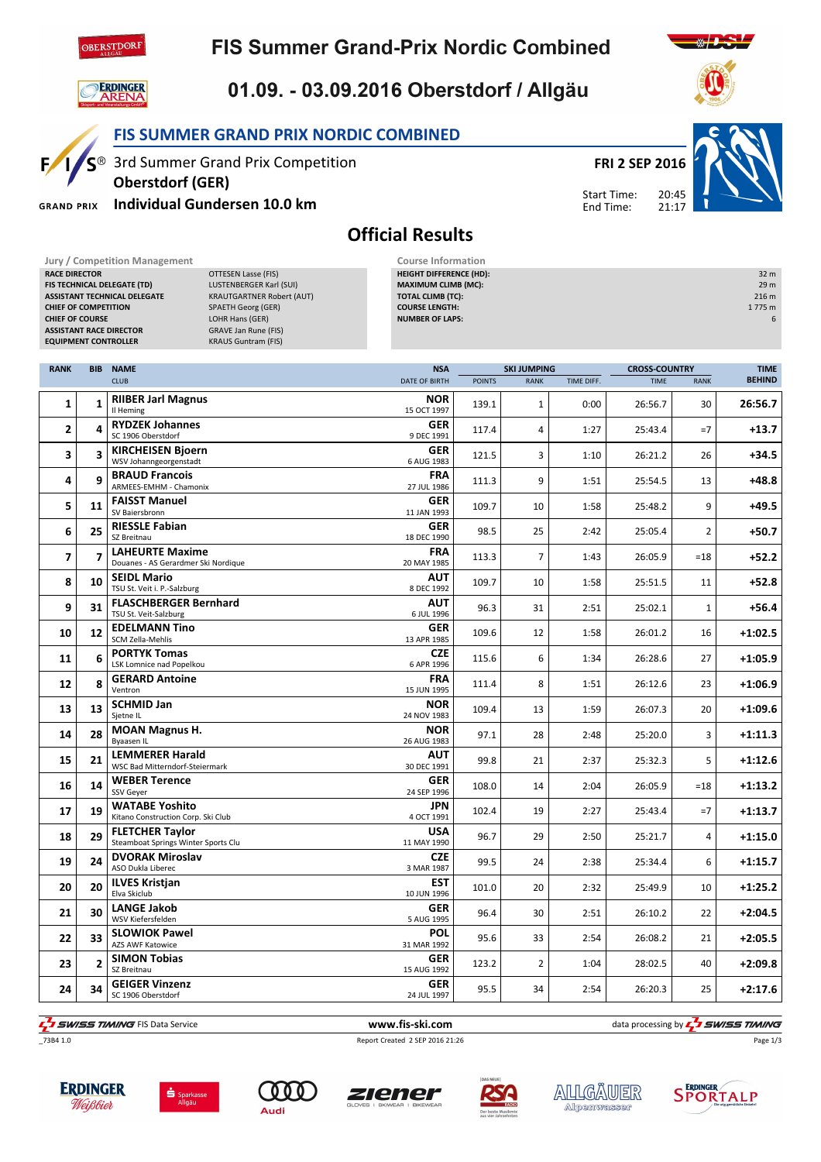

## **FIS Summer Grand-Prix Nordic Combined**



 $F/1/S^{\circledcirc}$ 

**GRAND PRIX** 

## 01.09. - 03.09.2016 Oberstdorf / Allgäu

Official Results

FIS SUMMER GRAND PRIX NORDIC COMBINED

3rd Summer Grand Prix Competition

Individual Gundersen 10.0 km

Oberstdorf (GER)



Start Time: End Time:

20:45 21:17



⋇∤∙

| Jury / Competition Management            |                                  | <b>Course Information</b>      |                    |                      |                  |
|------------------------------------------|----------------------------------|--------------------------------|--------------------|----------------------|------------------|
| <b>RACE DIRECTOR</b>                     | OTTESEN Lasse (FIS)              | <b>HEIGHT DIFFERENCE (HD):</b> |                    |                      | 32 <sub>m</sub>  |
| FIS TECHNICAL DELEGATE (TD)              | LUSTENBERGER Karl (SUI)          | <b>MAXIMUM CLIMB (MC):</b>     |                    |                      | 29 m             |
| <b>ASSISTANT TECHNICAL DELEGATE</b>      | <b>KRAUTGARTNER Robert (AUT)</b> | <b>TOTAL CLIMB (TC):</b>       |                    |                      | 216 <sub>m</sub> |
| <b>CHIEF OF COMPETITION</b>              | <b>SPAETH Georg (GER)</b>        | <b>COURSE LENGTH:</b>          |                    |                      | 1 775 m          |
| <b>CHIEF OF COURSE</b>                   | LOHR Hans (GER)                  | <b>NUMBER OF LAPS:</b>         |                    |                      |                  |
| <b>ASSISTANT RACE DIRECTOR</b>           | <b>GRAVE Jan Rune (FIS)</b>      |                                |                    |                      |                  |
| <b>EQUIPMENT CONTROLLER</b>              | <b>KRAUS Guntram (FIS)</b>       |                                |                    |                      |                  |
|                                          |                                  |                                |                    |                      |                  |
| <b>RANK</b><br><b>NAME</b><br><b>BIB</b> |                                  | <b>NSA</b>                     | <b>SKI JUMPING</b> | <b>CROSS-COUNTRY</b> | <b>TIME</b>      |

| DID.           | <b>IVAIVIE</b><br><b>CLUB</b>                                   | <b>NSH</b>             | <b>JUMPING</b><br><b>RANK</b>                                                                                                                                                                                                                                                                                                                                                                                                                                                                                                                                                                                                                                                                                          | TIME DIFF.                                                                                                                                                                                                                   | ๛๛๛๛๛<br><b>TIME</b> | <b>RANK</b>    | <b>IIIVIL</b><br><b>BEHIND</b> |
|----------------|-----------------------------------------------------------------|------------------------|------------------------------------------------------------------------------------------------------------------------------------------------------------------------------------------------------------------------------------------------------------------------------------------------------------------------------------------------------------------------------------------------------------------------------------------------------------------------------------------------------------------------------------------------------------------------------------------------------------------------------------------------------------------------------------------------------------------------|------------------------------------------------------------------------------------------------------------------------------------------------------------------------------------------------------------------------------|----------------------|----------------|--------------------------------|
| $\mathbf{1}$   | <b>RIIBER Jarl Magnus</b><br>Il Heming                          |                        | 1                                                                                                                                                                                                                                                                                                                                                                                                                                                                                                                                                                                                                                                                                                                      | 0:00                                                                                                                                                                                                                         | 26:56.7              | 30             | 26:56.7                        |
| 4              | <b>RYDZEK Johannes</b><br>SC 1906 Oberstdorf                    |                        | 4                                                                                                                                                                                                                                                                                                                                                                                                                                                                                                                                                                                                                                                                                                                      | 1:27                                                                                                                                                                                                                         | 25:43.4              | $=7$           | $+13.7$                        |
| 3              | <b>KIRCHEISEN Bjoern</b><br>WSV Johanngeorgenstadt              |                        | 3                                                                                                                                                                                                                                                                                                                                                                                                                                                                                                                                                                                                                                                                                                                      | 1:10                                                                                                                                                                                                                         | 26:21.2              | 26             | $+34.5$                        |
| q              | <b>BRAUD Francois</b>                                           |                        | 9                                                                                                                                                                                                                                                                                                                                                                                                                                                                                                                                                                                                                                                                                                                      | 1:51                                                                                                                                                                                                                         | 25:54.5              | 13             | $+48.8$                        |
| 11             | <b>FAISST Manuel</b><br>SV Baiersbronn                          |                        | 10                                                                                                                                                                                                                                                                                                                                                                                                                                                                                                                                                                                                                                                                                                                     | 1:58                                                                                                                                                                                                                         | 25:48.2              | 9              | $+49.5$                        |
| 25             | <b>RIESSLE Fabian</b><br>SZ Breitnau                            |                        | 25                                                                                                                                                                                                                                                                                                                                                                                                                                                                                                                                                                                                                                                                                                                     | 2:42                                                                                                                                                                                                                         | 25:05.4              | $\overline{2}$ | $+50.7$                        |
| $\overline{z}$ | <b>LAHEURTE Maxime</b><br>Douanes - AS Gerardmer Ski Nordique   |                        | $\overline{7}$                                                                                                                                                                                                                                                                                                                                                                                                                                                                                                                                                                                                                                                                                                         | 1:43                                                                                                                                                                                                                         | 26:05.9              | $\verb&=18"$   | $+52.2$                        |
| 10             | <b>SEIDL Mario</b><br>TSU St. Veit i. P.-Salzburg               |                        | 10                                                                                                                                                                                                                                                                                                                                                                                                                                                                                                                                                                                                                                                                                                                     | 1:58                                                                                                                                                                                                                         | 25:51.5              | 11             | $+52.8$                        |
| 31             | <b>FLASCHBERGER Bernhard</b><br>TSU St. Veit-Salzburg           |                        | 31                                                                                                                                                                                                                                                                                                                                                                                                                                                                                                                                                                                                                                                                                                                     | 2:51                                                                                                                                                                                                                         | 25:02.1              | $\mathbf{1}$   | $+56.4$                        |
| 12             | <b>EDELMANN Tino</b><br>SCM Zella-Mehlis                        |                        | 12                                                                                                                                                                                                                                                                                                                                                                                                                                                                                                                                                                                                                                                                                                                     | 1:58                                                                                                                                                                                                                         | 26:01.2              | 16             | $+1:02.5$                      |
| 6              | <b>PORTYK Tomas</b><br><b>LSK Lomnice nad Popelkou</b>          |                        | 6                                                                                                                                                                                                                                                                                                                                                                                                                                                                                                                                                                                                                                                                                                                      | 1:34                                                                                                                                                                                                                         | 26:28.6              | 27             | $+1:05.9$                      |
| 8              | <b>GERARD Antoine</b><br>Ventron                                |                        | 8                                                                                                                                                                                                                                                                                                                                                                                                                                                                                                                                                                                                                                                                                                                      | 1:51                                                                                                                                                                                                                         | 26:12.6              | 23             | $+1:06.9$                      |
| 13             | <b>SCHMID Jan</b><br>Sjetne IL                                  |                        | 13                                                                                                                                                                                                                                                                                                                                                                                                                                                                                                                                                                                                                                                                                                                     | 1:59                                                                                                                                                                                                                         | 26:07.3              | 20             | $+1:09.6$                      |
| 28             | <b>MOAN Magnus H.</b><br><b>Byaasen IL</b>                      |                        | 28                                                                                                                                                                                                                                                                                                                                                                                                                                                                                                                                                                                                                                                                                                                     | 2:48                                                                                                                                                                                                                         | 25:20.0              | 3              | $+1:11.3$                      |
| 21             | <b>LEMMERER Harald</b><br><b>WSC Bad Mitterndorf-Steiermark</b> |                        | 21                                                                                                                                                                                                                                                                                                                                                                                                                                                                                                                                                                                                                                                                                                                     | 2:37                                                                                                                                                                                                                         | 25:32.3              | 5              | $+1:12.6$                      |
| 14             | <b>WEBER Terence</b><br>SSV Geyer                               |                        | 14                                                                                                                                                                                                                                                                                                                                                                                                                                                                                                                                                                                                                                                                                                                     | 2:04                                                                                                                                                                                                                         | 26:05.9              | $=18$          | $+1:13.2$                      |
| 19             | <b>WATABE Yoshito</b><br>Kitano Construction Corp. Ski Club     |                        | 19                                                                                                                                                                                                                                                                                                                                                                                                                                                                                                                                                                                                                                                                                                                     | 2:27                                                                                                                                                                                                                         | 25:43.4              | $=7$           | $+1:13.7$                      |
| 29             | <b>FLETCHER Tavlor</b><br>Steamboat Springs Winter Sports Clu   |                        | 29                                                                                                                                                                                                                                                                                                                                                                                                                                                                                                                                                                                                                                                                                                                     | 2:50                                                                                                                                                                                                                         | 25:21.7              | 4              | $+1:15.0$                      |
| 24             | <b>DVORAK Miroslav</b><br>ASO Dukla Liberec                     |                        | 24                                                                                                                                                                                                                                                                                                                                                                                                                                                                                                                                                                                                                                                                                                                     | 2:38                                                                                                                                                                                                                         | 25:34.4              | 6              | $+1:15.7$                      |
| 20             | <b>ILVES Kristjan</b><br>Elva Skiclub                           |                        | 20                                                                                                                                                                                                                                                                                                                                                                                                                                                                                                                                                                                                                                                                                                                     | 2:32                                                                                                                                                                                                                         | 25:49.9              | 10             | $+1:25.2$                      |
| 30             | <b>LANGE Jakob</b><br>WSV Kiefersfelden                         |                        | 30                                                                                                                                                                                                                                                                                                                                                                                                                                                                                                                                                                                                                                                                                                                     | 2:51                                                                                                                                                                                                                         | 26:10.2              | 22             | $+2:04.5$                      |
| 33             | <b>SLOWIOK Pawel</b><br><b>AZS AWF Katowice</b>                 |                        | 33                                                                                                                                                                                                                                                                                                                                                                                                                                                                                                                                                                                                                                                                                                                     | 2:54                                                                                                                                                                                                                         | 26:08.2              | 21             | $+2:05.5$                      |
| $\overline{2}$ | <b>SIMON Tobias</b><br>SZ Breitnau                              |                        | $\overline{2}$                                                                                                                                                                                                                                                                                                                                                                                                                                                                                                                                                                                                                                                                                                         | 1:04                                                                                                                                                                                                                         | 28:02.5              | 40             | $+2:09.8$                      |
| 34             | <b>GEIGER Vinzenz</b><br>SC 1906 Oberstdorf                     |                        | 34                                                                                                                                                                                                                                                                                                                                                                                                                                                                                                                                                                                                                                                                                                                     | 2:54                                                                                                                                                                                                                         | 26:20.3              | 25             | $+2:17.6$                      |
|                |                                                                 | ARMEES-EMHM - Chamonix | <b>DATE OF BIRTH</b><br><b>NOR</b><br>15 OCT 1997<br><b>GER</b><br>9 DEC 1991<br>GER<br>6 AUG 1983<br><b>FRA</b><br>27 JUL 1986<br><b>GER</b><br>11 JAN 1993<br><b>GER</b><br>18 DEC 1990<br><b>FRA</b><br>20 MAY 1985<br><b>AUT</b><br>8 DEC 1992<br><b>AUT</b><br>6 JUL 1996<br><b>GER</b><br>13 APR 1985<br><b>CZE</b><br>6 APR 1996<br><b>FRA</b><br>15 JUN 1995<br><b>NOR</b><br>24 NOV 1983<br><b>NOR</b><br>26 AUG 1983<br><b>AUT</b><br>30 DEC 1991<br><b>GER</b><br>24 SEP 1996<br>JPN<br>4 OCT 1991<br><b>USA</b><br>11 MAY 1990<br><b>CZE</b><br>3 MAR 1987<br><b>EST</b><br>10 JUN 1996<br><b>GER</b><br>5 AUG 1995<br><b>POL</b><br>31 MAR 1992<br><b>GER</b><br>15 AUG 1992<br><b>GER</b><br>24 JUL 1997 | <b>POINTS</b><br>139.1<br>117.4<br>121.5<br>111.3<br>109.7<br>98.5<br>113.3<br>109.7<br>96.3<br>109.6<br>115.6<br>111.4<br>109.4<br>97.1<br>99.8<br>108.0<br>102.4<br>96.7<br>99.5<br>101.0<br>96.4<br>95.6<br>123.2<br>95.5 |                      |                |                                |



**F** SWISS TIMING FIS Data Service www.fis-ski.com www.fis-ski.com data processing by  $\frac{1}{2}$  SWISS TIMING



















TIME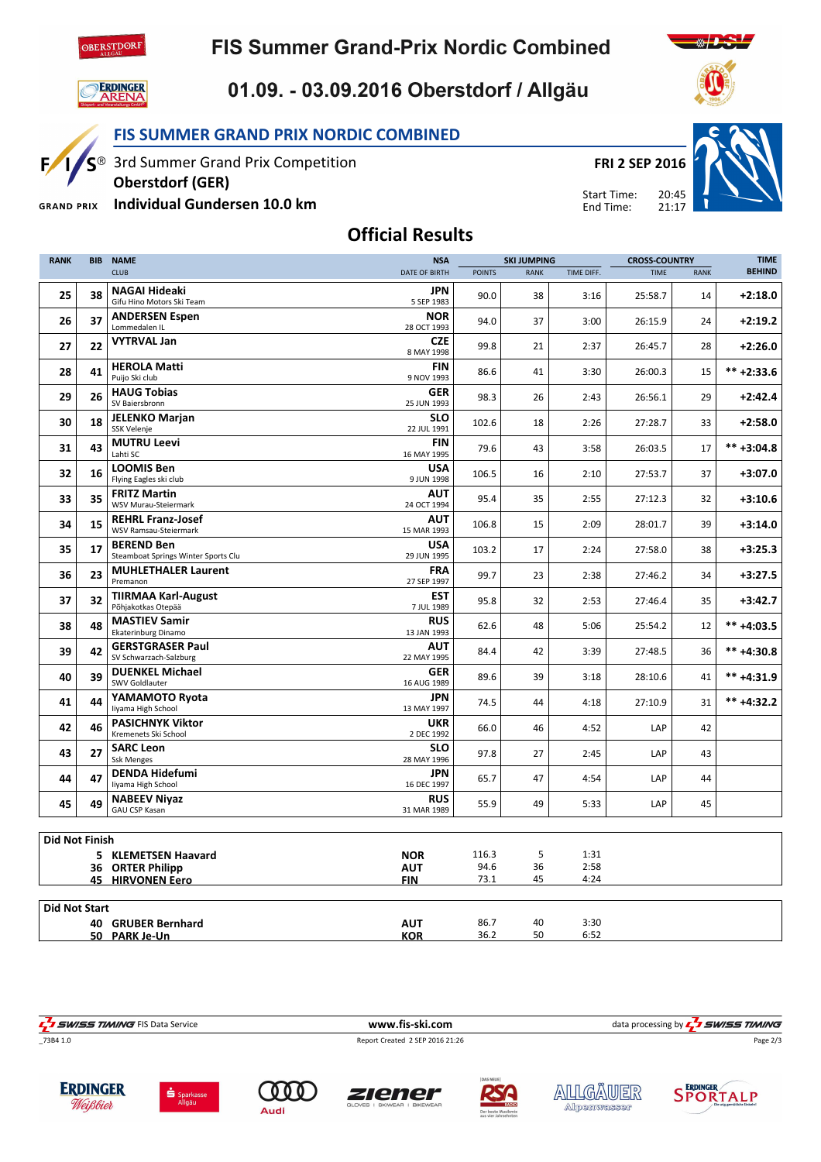

## **FIS Summer Grand-Prix Nordic Combined**



SO

 $F/$ 

## 01.09. - 03.09.2016 Oberstdorf / Allgäu



3rd Summer Grand Prix Competition

Oberstdorf (GER)

Individual Gundersen 10.0 km **GRAND PRIX** 





 $21:17$ Start Time: End Time:



Official Results

| <b>RANK</b>           | <b>BIB</b> | <b>NAME</b>                                              | <b>NSA</b>                |               | <b>SKI JUMPING</b> |              | <b>CROSS-COUNTRY</b> |             | <b>TIME</b>    |
|-----------------------|------------|----------------------------------------------------------|---------------------------|---------------|--------------------|--------------|----------------------|-------------|----------------|
|                       |            | <b>CLUB</b>                                              | <b>DATE OF BIRTH</b>      | <b>POINTS</b> | <b>RANK</b>        | TIME DIFF.   | <b>TIME</b>          | <b>RANK</b> | <b>BEHIND</b>  |
| 25                    | 38         | <b>NAGAI Hideaki</b><br>Gifu Hino Motors Ski Team        | <b>JPN</b><br>5 SEP 1983  | 90.0          | 38                 | 3:16         | 25:58.7              | 14          | $+2:18.0$      |
| 26                    | 37         | <b>ANDERSEN Espen</b><br>Lommedalen IL                   | <b>NOR</b><br>28 OCT 1993 | 94.0          | 37                 | 3:00         | 26:15.9              | 24          | $+2:19.2$      |
| 27                    | 22         | <b>VYTRVAL Jan</b>                                       | <b>CZE</b><br>8 MAY 1998  | 99.8          | 21                 | 2:37         | 26:45.7              | 28          | $+2:26.0$      |
| 28                    | 41         | <b>HEROLA Matti</b><br>Puijo Ski club                    | <b>FIN</b><br>9 NOV 1993  | 86.6          | 41                 | 3:30         | 26:00.3              | 15          | $*** + 2:33.6$ |
| 29                    | 26         | <b>HAUG Tobias</b><br>SV Baiersbronn                     | <b>GER</b><br>25 JUN 1993 | 98.3          | 26                 | 2:43         | 26:56.1              | 29          | $+2:42.4$      |
| 30                    | 18         | <b>JELENKO Marjan</b><br>SSK Velenje                     | <b>SLO</b><br>22 JUL 1991 | 102.6         | 18                 | 2:26         | 27:28.7              | 33          | $+2:58.0$      |
| 31                    | 43         | <b>MUTRU Leevi</b><br>Lahti SC                           | <b>FIN</b><br>16 MAY 1995 | 79.6          | 43                 | 3:58         | 26:03.5              | 17          | $*** +3:04.8$  |
| 32                    | 16         | <b>LOOMIS Ben</b><br>Flying Eagles ski club              | USA<br>9 JUN 1998         | 106.5         | 16                 | 2:10         | 27:53.7              | 37          | $+3:07.0$      |
| 33                    | 35         | <b>FRITZ Martin</b><br>WSV Murau-Steiermark              | <b>AUT</b><br>24 OCT 1994 | 95.4          | 35                 | 2:55         | 27:12.3              | 32          | $+3:10.6$      |
| 34                    | 15         | <b>REHRL Franz-Josef</b><br><b>WSV Ramsau-Steiermark</b> | <b>AUT</b><br>15 MAR 1993 | 106.8         | 15                 | 2:09         | 28:01.7              | 39          | $+3:14.0$      |
| 35                    | 17         | <b>BEREND Ben</b><br>Steamboat Springs Winter Sports Clu | <b>USA</b><br>29 JUN 1995 | 103.2         | 17                 | 2:24         | 27:58.0              | 38          | $+3:25.3$      |
| 36                    | 23         | <b>MUHLETHALER Laurent</b><br>Premanon                   | <b>FRA</b><br>27 SEP 1997 | 99.7          | 23                 | 2:38         | 27:46.2              | 34          | $+3:27.5$      |
| 37                    | 32         | <b>TIIRMAA Karl-August</b><br>Põhjakotkas Otepää         | <b>EST</b><br>7 JUL 1989  | 95.8          | 32                 | 2:53         | 27:46.4              | 35          | $+3:42.7$      |
| 38                    | 48         | <b>MASTIEV Samir</b><br><b>Ekaterinburg Dinamo</b>       | <b>RUS</b><br>13 JAN 1993 | 62.6          | 48                 | 5:06         | 25:54.2              | 12          | $*** +4:03.5$  |
| 39                    | 42         | <b>GERSTGRASER Paul</b><br>SV Schwarzach-Salzburg        | AUT<br>22 MAY 1995        | 84.4          | 42                 | 3:39         | 27:48.5              | 36          | $*** +4:30.8$  |
| 40                    | 39         | <b>DUENKEL Michael</b><br><b>SWV Goldlauter</b>          | <b>GER</b><br>16 AUG 1989 | 89.6          | 39                 | 3:18         | 28:10.6              | 41          | $*** +4:31.9$  |
| 41                    | 44         | YAMAMOTO Ryota<br>liyama High School                     | <b>JPN</b><br>13 MAY 1997 | 74.5          | 44                 | 4:18         | 27:10.9              | 31          | $*** +4:32.2$  |
| 42                    | 46         | <b>PASICHNYK Viktor</b><br>Kremenets Ski School          | <b>UKR</b><br>2 DEC 1992  | 66.0          | 46                 | 4:52         | LAP                  | 42          |                |
| 43                    | 27         | <b>SARC Leon</b><br><b>Ssk Menges</b>                    | <b>SLO</b><br>28 MAY 1996 | 97.8          | 27                 | 2:45         | LAP                  | 43          |                |
| 44                    | 47         | <b>DENDA Hidefumi</b><br>liyama High School              | <b>JPN</b><br>16 DEC 1997 | 65.7          | 47                 | 4:54         | LAP                  | 44          |                |
| 45                    | 49         | <b>NABEEV Niyaz</b><br>GAU CSP Kasan                     | <b>RUS</b><br>31 MAR 1989 | 55.9          | 49                 | 5:33         | LAP                  | 45          |                |
|                       |            |                                                          |                           |               |                    |              |                      |             |                |
| <b>Did Not Finish</b> |            |                                                          |                           |               |                    |              |                      |             |                |
|                       |            | 5 KLEMETSEN Haavard                                      | <b>NOR</b>                | 116.3<br>94.6 | 5<br>36            | 1:31<br>2:58 |                      |             |                |
|                       |            | 36 ORTER Philipp<br><b>45 HIRVONEN Eero</b>              | <b>AUT</b><br><b>FIN</b>  | 73.1          | 45                 | 4:24         |                      |             |                |
|                       |            |                                                          |                           |               |                    |              |                      |             |                |
| <b>Did Not Start</b>  |            |                                                          |                           |               |                    |              |                      |             |                |
|                       |            | <b>40 GRUBER Bernhard</b>                                | <b>AUT</b>                | 86.7          | 40                 | 3:30         |                      |             |                |
|                       |            | 50 PARK Je-Un                                            | <b>KOR</b>                | 36.2          | 50                 | 6:52         |                      |             |                |